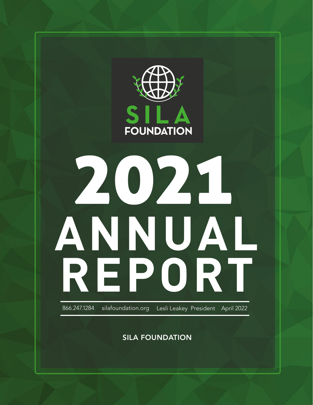

SILA FOUNDATION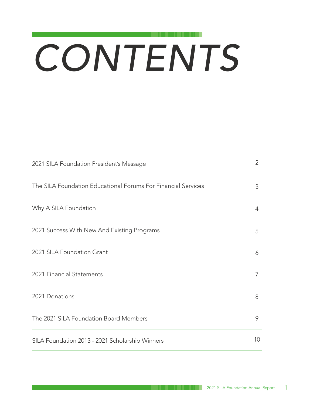# *CONTENTS*

| 2021 SILA Foundation President's Message                      | $\overline{2}$ |
|---------------------------------------------------------------|----------------|
| The SILA Foundation Educational Forums For Financial Services | 3              |
| Why A SILA Foundation                                         | 4              |
| 2021 Success With New And Existing Programs                   | 5              |
| 2021 SILA Foundation Grant                                    | 6              |
| 2021 Financial Statements                                     | 7              |
| 2021 Donations                                                | 8              |
| The 2021 SILA Foundation Board Members                        | 9              |
| SILA Foundation 2013 - 2021 Scholarship Winners               | 10             |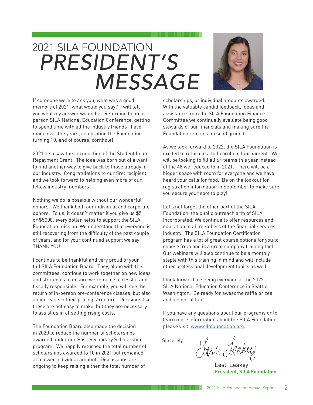### 2021 SILA FOUNDATION *PRESIDENT'S MESSAGE*



If someone were to ask you, what was a good memory of 2021, what would you say? I will tell you what my answer would be. Returning to an inperson SILA National Education Conference, getting to spend time with all the industry friends I have made over the years, celebrating the Foundation turning 10, and of course, cornhole!

2021 also saw the introduction of the Student Loan Repayment Grant. The idea was born out of a want to find another way to give back to those already in our industry. Congratulations to our first recipient and we look forward to helping even more of our fellow industry members.

Nothing we do is possible without our wonderful donors. We thank both our individual and corporate donors. To us, it doesn't matter if you give us \$5 or \$5000, every dollar helps to support the SILA Foundation mission. We understand that everyone is still recovering from the difficulty of the past couple of years, and for your continued support we say THANK YOU!

I continue to be thankful and very proud of your full SILA Foundation Board. They, along with their committees, continue to work together on new ideas and strategies to ensure we remain successful and fiscally responsible. For example, you will see the return of in-person pre-conference classes, but also an increase in their pricing structure. Decisions like these are not easy to make, but they are necessary to assist us in offsetting rising costs.

The Foundation Board also made the decision in 2020 to reduce the number of scholarships awarded under our Post-Secondary Scholarship program. We happily returned the total number of scholarships awarded to 10 in 2021 but remained at a lower individual amount. Discussions are ongoing to keep raising either the total number of

scholarships, or individual amounts awarded. With the valuable candid feedback, ideas and assistance from the SILA Foundation Finance Committee we continually evaluate being good stewards of our financials and making sure the Foundation remains on solid ground.

As we look forward to 2022, the SILA Foundation is excited to return to a full cornhole tournament. We will be looking to fill all 64 teams this year instead of the 48 we reduced to in 2021. There will be a bigger space with room for everyone and we have heard your calls for food. Be on the lookout for registration information in September to make sure you secure your spot to play!

Let's not forget the other part of the SILA Foundation, the public outreach arm of SILA, Incorporated. We continue to offer resources and education to all members of the financial services industry. The SILA Foundation Certification program has a lot of great course options for you to choose from and is a great company training tool. Our webinars will also continue to be a monthly staple with this training in mind and will include other professional development topics as well.

I look forward to seeing everyone at the 2022 SILA National Education Conference in Seattle, Washington. Be ready for awesome raffle prizes and a night of fun!

If you have any questions about our programs or to learn more information about the SILA Foundation, please visit [www.silafoundation.org](http://www.silafoundation.org).

Sincerely,

. . . . . . . .

Jesti Leaker

Lesli Leakey **President, SILA Foundation**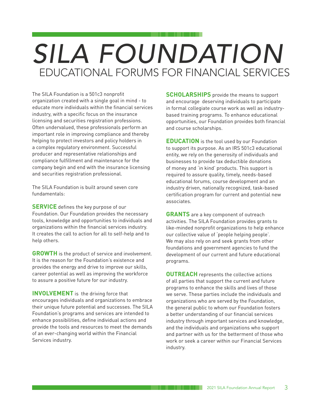## EDUCATIONAL FORUMS FOR FINANCIAL SERVICES *SILA FOUNDATION*

The SILA Foundation is a 501c3 nonprofit organization created with a single goal in mind - to educate more individuals within the financial services industry, with a specific focus on the insurance licensing and securities registration professions. Often undervalued, these professionals perform an important role in improving compliance and thereby helping to protect investors and policy holders in a complex regulatory environment. Successful producer and representative relationships and compliance fulfillment and maintenance for the company begin and end with the insurance licensing and securities registration professional.

The SILA Foundation is built around seven core fundamentals:

**SERVICE** defines the key purpose of our Foundation. Our Foundation provides the necessary tools, knowledge and opportunities to individuals and organizations within the financial services industry. It creates the call to action for all to self-help and to help others.

**GROWTH** is the product of service and involvement. It is the reason for the Foundation's existence and provides the energy and drive to improve our skills, career potential as well as improving the workforce to assure a positive future for our industry.

**INVOLVEMENT** is the driving force that encourages individuals and organizations to embrace their unique future potential and successes. The SILA Foundation's programs and services are intended to enhance possibilities, define individual actions and provide the tools and resources to meet the demands of an ever-changing world within the Financial Services industry.

**SCHOLARSHIPS** provide the means to support and encourage deserving individuals to participate in formal collegiate course work as well as industrybased training programs. To enhance educational opportunities, our Foundation provides both financial and course scholarships.

**EDUCATION** is the tool used by our Foundation to support its purpose. As an IRS 501c3 educational entity, we rely on the generosity of individuals and businesses to provide tax deductible donations of money and 'in kind' products. This support is required to assure quality, timely, needs-based educational forums, course development and an industry driven, nationally recognized, task-based certification program for current and potential new associates.

**GRANTS** are a key component of outreach activities. The SILA Foundation provides grants to like-minded nonprofit organizations to help enhance our collective value of 'people helping people'. We may also rely on and seek grants from other foundations and government agencies to fund the development of our current and future educational programs.

**OUTREACH** represents the collective actions of all parties that support the current and future programs to enhance the skills and lives of those we serve. These parties include the individuals and organizations who are served by the Foundation, the general public to whom our Foundation fosters a better understanding of our financial services industry through important services and knowledge, and the individuals and organizations who support and partner with us for the betterment of those who work or seek a career within our Financial Services industry.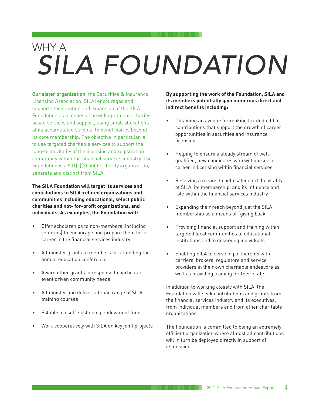## *SILA FOUNDATION* WHY A

**Our sister organization**, the Securities & Insurance Licensing Association (SILA) encourages and supports the creation and expansion of the SILA Foundation as a means of providing valuable charitybased services and support, using small allocations of its accumulated surplus, to beneficiaries beyond its core membership. The objective in particular is to use targeted charitable services to support the long-term vitality of the licensing and registration community within the financial services industry. The Foundation is a 501(c)(3) public charity organization, separate and distinct from SILA.

**The SILA Foundation will target its services and contributions to SILA-related organizations and communities including educational, select public charities and not- for-profit organizations, and individuals. As examples, the Foundation will:** 

- Offer scholarships to non-members (including veterans) to encourage and prepare them for a career in the financial services industry
- Administer grants to members for attending the annual education conference
- Award other grants in response to particular event driven community needs
- Administer and deliver a broad range of SILA training courses
- Establish a self-sustaining endowment fund
- Work cooperatively with SILA on key joint projects

**By supporting the work of the Foundation, SILA and its members potentially gain numerous direct and indirect benefits including:**

- Obtaining an avenue for making tax deductible contributions that support the growth of career opportunities in securities and insurance licensing
- Helping to ensure a steady stream of wellqualified, new candidates who will pursue a career in licensing within financial services
- Receiving a means to help safeguard the vitality of SILA, its membership, and its influence and role within the financial services industry
- Expanding their reach beyond just the SILA membership as a means of "giving back"
- Providing financial support and training within targeted local communities to educational institutions and to deserving individuals
- Enabling SILA to serve in partnership with carriers, brokers, regulators and service providers in their own charitable endeavors as well as providing training for their staffs

In addition to working closely with SILA, the Foundation will seek contributions and grants from the financial services industry and its executives, from individual members and from other charitable organizations.

The Foundation is committed to being an extremely efficient organization where almost all contributions will in turn be deployed directly in support of its mission.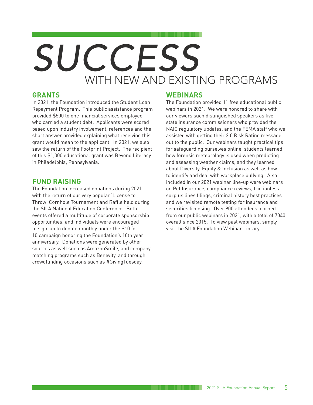# *SUCCESS* WITH NEW AND EXISTING PROGRAMS

#### **GRANTS**

In 2021, the Foundation introduced the Student Loan Repayment Program. This public assistance program provided \$500 to one financial services employee who carried a student debt. Applicants were scored based upon industry involvement, references and the short answer provided explaining what receiving this grant would mean to the applicant. In 2021, we also saw the return of the Footprint Project. The recipient of this \$1,000 educational grant was Beyond Literacy in Philadelphia, Pennsylvania.

#### **FUND RAISING**

The Foundation increased donations during 2021 with the return of our very popular 'License to Throw' Cornhole Tournament and Raffle held during the SILA National Education Conference. Both events offered a multitude of corporate sponsorship opportunities, and individuals were encouraged to sign-up to donate monthly under the \$10 for 10 campaign honoring the Foundation's 10th year anniversary. Donations were generated by other sources as well such as AmazonSmile, and company matching programs such as Benevity, and through crowdfunding occasions such as #GivingTuesday.

#### **WEBINARS**

The Foundation provided 11 free educational public webinars in 2021. We were honored to share with our viewers such distinguished speakers as five state insurance commissioners who provided the NAIC regulatory updates, and the FEMA staff who we assisted with getting their 2.0 Risk Rating message out to the public. Our webinars taught practical tips for safeguarding ourselves online, students learned how forensic meteorology is used when predicting and assessing weather claims, and they learned about Diversity, Equity & Inclusion as well as how to identify and deal with workplace bullying. Also included in our 2021 webinar line-up were webinars on Pet Insurance, compliance reviews, frictionless surplus lines filings, criminal history best practices and we revisited remote testing for insurance and securities licensing. Over 900 attendees learned from our public webinars in 2021, with a total of 7040 overall since 2015. To view past webinars, simply visit the SILA Foundation Webinar Library.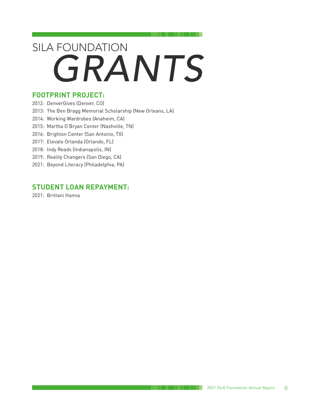# *GRANTS* SILA FOUNDATION

#### **FOOTPRINT PROJECT:**

- 2012: DenverGives (Denver, CO)
- 2013: The Ben Bragg Memorial Scholarship (New Orleans, LA)
- 2014: Working Wardrobes (Anaheim, CA)
- 2015: Martha O'Bryan Center (Nashville, TN)
- 2016: Brighton Center (San Antonio, TX)
- 2017: Elevate Orlanda (Orlando, FL)
- 2018: Indy Reads (Indianapolis, IN)
- 2019: Reality Changers (San Diego, CA)
- 2021: Beyond Literacy (Philadelphia, PA)

#### **STUDENT LOAN REPAYMENT:**

2021: Brittani Hanna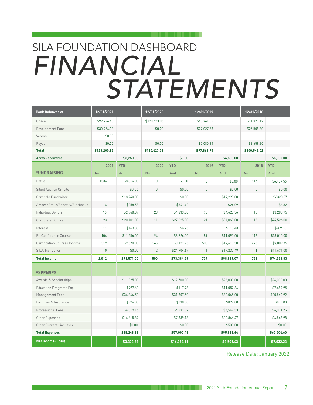# *FINANCIAL STATEMENTS* SILA FOUNDATION DASHBOARD

| <b>Bank Balances at:</b>            | 12/31/2021     |             | 12/31/2020     |             | 12/31/2019     |             | 12/31/2018   |             |
|-------------------------------------|----------------|-------------|----------------|-------------|----------------|-------------|--------------|-------------|
| Chase                               | \$92,726.60    |             | \$120,423.06   |             | \$68,761.08    |             | \$71,375.12  |             |
| Development Fund                    | \$30,474.33    |             | \$0.00         |             | \$27,027.73    |             | \$25,508.30  |             |
| Venmo                               | \$0.00         |             |                |             |                |             |              |             |
| Paypal                              | \$0.00         |             | \$0.00         |             | \$2,080.14     |             | \$3,659.60   |             |
| <b>Total</b>                        | \$123,200.93   |             | \$120,423.06   |             | \$97,868.95    |             | \$100,543.02 |             |
| <b>Accts Receivable</b>             |                | \$3,250.00  |                | \$0.00      |                | \$6,500.00  |              | \$5,000,00  |
|                                     | 2021           | <b>YTD</b>  | 2020           | <b>YTD</b>  | 2019           | <b>YTD</b>  | 2018         | <b>YTD</b>  |
| <b>FUNDRAISING</b>                  | No.            | Amt         | No.            | Amt         | No.            | Amt         | No.          | Amt         |
| Raffle                              | 1536           | \$8,314.00  | $\pmb{0}$      | \$0.00      | $\pmb{0}$      | \$0.00      | 180          | \$6,409.56  |
| <b>Silent Auction On-site</b>       |                | \$0.00      | $\mathbf{0}$   | \$0.00      | $\mathbf{0}$   | \$0.00      | $\mathbf{0}$ | \$0.00      |
| Cornhole Fundraiser                 |                | \$18,940.00 |                | \$0.00      |                | \$19,295.00 |              | \$6320.57   |
| AmazonSmile/Benevity/Blackbaud      | $\overline{4}$ | \$258.58    |                | \$361.42    |                | \$24.09     |              | \$6.32      |
| <b>Individual Donors</b>            | 15             | \$2,968.09  | 28             | \$4,233.00  | 93             | \$4,628.56  | 18           | \$3,288.75  |
| Corporate Donors                    | 23             | \$20,101.00 | 11             | \$27,225.00 | 21             | \$34,065.00 | 16           | \$24,526.00 |
| Interest                            | 11             | \$163.33    |                | \$6.75      |                | \$113.43    |              | \$289.88    |
| PreConference Courses               | 104            | \$11,256.00 | 94             | \$8,726.00  | 89             | \$11,095.00 | 116          | \$13,015.00 |
| <b>Certification Courses Income</b> | 319            | \$9,570.00  | 365            | \$8,127.75  | 503            | \$12,415.50 | 425          | \$9,009.75  |
| SILA, Inc. Donor                    | $\mathbf{0}$   | \$0.00      | $\overline{2}$ | \$24,704.67 | $\overline{1}$ | \$17,232.49 | $\mathbf{1}$ | \$11,671.00 |
| <b>Total Income</b>                 | 2.012          | \$71,571.00 | 500            | \$73,384.59 | 707            | \$98,869,07 | 756          | \$74,536.83 |
| <b>EXPENSES</b>                     |                |             |                |             |                |             |              |             |
| Awards & Scholarships               |                | \$11,025.00 |                | \$12,500.00 |                | \$26,000.00 |              | \$26,000.00 |
| <b>Education Programs Exp</b>       |                | \$997.60    |                | \$117.98    |                | \$11,057.64 |              | \$7,489.95  |
| Management Fees                     |                | \$34,366.50 |                | \$31,807.50 |                | \$32,045.00 |              | \$20,560.92 |
| Facilities & Insurance              |                | \$924.00    |                | \$898.00    |                | \$872.00    |              | \$853.00    |
| Professional Fees                   |                | \$6,319.16  |                | \$4,337.82  |                | \$4,542.53  |              | \$6,051.75  |
| Other Expenses                      |                | \$14,615.87 |                | \$7,339.18  |                | \$20,846.47 |              | \$6,548.98  |
| Other Current Liabilities           |                | \$0.00      |                | \$0.00      |                | \$500.00    |              | \$0.00      |
| <b>Total Expenses</b>               |                | \$68,248.13 |                | \$57,000.48 |                | \$95,863.64 |              | \$67,504.60 |
| <b>Net Income (Loss)</b>            |                | \$3,322.87  |                | \$16,384.11 |                | \$3,505.43  |              | \$7,032.23  |

Release Date: January 2022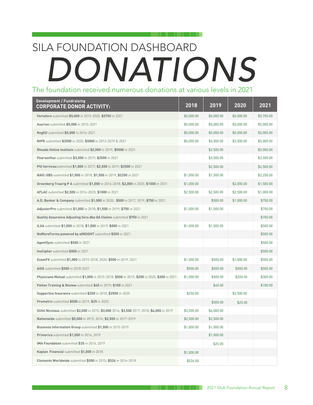### The foundation received numerous donations at various levels in 2021 *DONATIONS* SILA FOUNDATION DASHBOARD

| <b>Development / Fundraising</b><br><b>CORPORATE DONOR ACTIVITY:</b>                          | 2018       | 2019       | 2020       | 2021       |
|-----------------------------------------------------------------------------------------------|------------|------------|------------|------------|
| Vertafore submitted \$5,000 in 2015-2020, \$5750 in 2021                                      | \$5,000.00 | \$5,000.00 | \$5,000.00 | \$5,750.00 |
| Asurion submitted \$5,000 in 2015-2021                                                        | \$5,000.00 | \$5,000.00 | \$5,000.00 | \$5,000.00 |
| RegED submitted \$5,000 in 2016-2021                                                          | \$5,000.00 | \$5,000.00 | \$5,000.00 | \$5,000.00 |
| NIPR submitted \$2500 in 2020; \$5000 in 2013-2019 & 2021                                     | \$5,000.00 | \$5,000.00 | \$2,500.00 | \$5,000.00 |
| Rhoads Online Institute submitted \$2,500 in 2019; \$5000 in 2021                             |            | \$2,500.00 |            | \$5,000.00 |
| PearsonVue submitted \$3,500 in 2019; \$2500 in 2021                                          |            | \$3,500.00 |            | \$2,500.00 |
| PSI Servicessubmitted \$1,000 in 2017; \$2,500 in 2019; \$2500 in 2021                        |            | \$2,500.00 |            | \$2,500.00 |
| NAIC-SBS submitted \$1,000 in 2018; \$1,500 in 2019; \$2250 in 2021                           | \$1,000.00 | \$1,500.00 |            | \$2,250.00 |
| Greenberg Traurig P A submitted \$1,000 in 2016-2018; \$2,000 in 2020; \$1500 in 2021         | \$1,000.00 |            | \$2,000.00 | \$1,500.00 |
| AFLAC submitted \$2,500 in 2016-2020; \$1000 in 2021                                          | \$2,500.00 | \$2,500.00 | \$2,500.00 | \$1,000.00 |
| A.D. Banker & Company submitted \$1,000 in 2020; \$500 in 2017, 2019; \$750 in 2021           |            | \$500.00   | \$1,000.00 | \$750.00   |
| AdjusterPro submitted \$1,000 in 2018; \$1,500 in 2019; \$750 in 2021                         | \$1,000.00 | \$1,500.00 |            | \$750.00   |
| Quality Assurance Adjusting Svcs dba QA Claims submitted \$750 in 2021                        |            |            |            | \$750.00   |
| ILSA submitted \$1,000 in 2018; \$1,500 in 2019; \$500 in 2021                                | \$1,000.00 | \$1,500.00 |            | \$500.00   |
| NoMoreForms powered by aINSIGHT submitted \$500 in 2021                                       |            |            |            | \$500.00   |
| AgentSync submitted \$500 in 2021                                                             |            |            |            | \$500.00   |
| InsCipher submitted \$500 in 2021                                                             |            |            |            | \$500.00   |
| <b>ExamFX</b> submitted \$1,000 in 2015-2018, 2020; \$500 in 2019, 2021                       | \$1,000.00 | \$500.00   | \$1,000.00 | \$500.00   |
| <b>AXIS</b> submitted \$500 in 2018-2021                                                      | \$500.00   | \$500.00   | \$500.00   | \$500.00   |
| Physicians Mutual submitted \$1,000 in 2015-2018; \$500 in 2019; \$200 in 2020, \$300 in 2021 | \$1,000.00 | \$500.00   | \$200.00   | \$300.00   |
| Patten Training & Review submitted \$40 in 2019; \$100 in 2021                                |            | \$40.00    |            | \$100.00   |
| <b>Supportive Insurance</b> submitted \$250 in 2018, \$2500 in 2020                           | \$250.00   |            | \$2,500.00 |            |
| <b>Prometric</b> submitted \$500 in 2019; \$25 in 2020                                        |            | \$500.00   | \$25.00    |            |
| Stifel Nicolaus submitted \$2,000 in 2015; \$3,000 2016; \$3,500 2017, 2018; \$4,000 in 2019  | \$3,500.00 | \$4,000.00 |            |            |
| Nationwide submitted \$5,000 in 2015, 2016; \$2,500 in 2017-2019                              | \$2,500.00 | \$2,500.00 |            |            |
| Business Information Group submitted \$1,000 in 2015-2019                                     | \$1,000.00 | \$1,000.00 |            |            |
| <b>Primerica</b> submitted \$1,000 in 2014, 2019                                              |            | \$1,000.00 |            |            |
| IMA Foundation submitted \$25 in 2016, 2019                                                   |            | \$25.00    |            |            |
| Kaplan Financial submitted \$1,000 in 2018                                                    | \$1,000.00 |            |            |            |
| Clements Worldwide submitted \$500 in 2015; \$526 in 2016-2018                                | \$526.00   |            |            |            |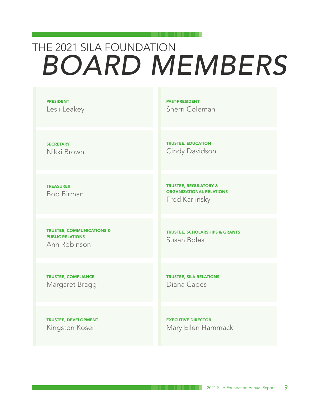### THE 2021 SILA FOUNDATION *BOARD MEMBERS*

PRESIDENT Lesli Leakey PAST-PRESIDENT Sherri Coleman

TRUSTEE, EDUCATION Cindy Davidson

**SECRETARY** Nikki Brown

TREASURER Bob Birman

TRUSTEE, COMMUNICATIONS & PUBLIC RELATIONS Ann Robinson

TRUSTEE, COMPLIANCE Margaret Bragg

TRUSTEE, DEVELOPMENT Kingston Koser

TRUSTEE, REGULATORY & ORGANIZATIONAL RELATIONS

Fred Karlinsky

TRUSTEE, SCHOLARSHIPS & GRANTS Susan Boles

TRUSTEE, SILA RELATIONS Diana Capes

EXECUTIVE DIRECTOR Mary Ellen Hammack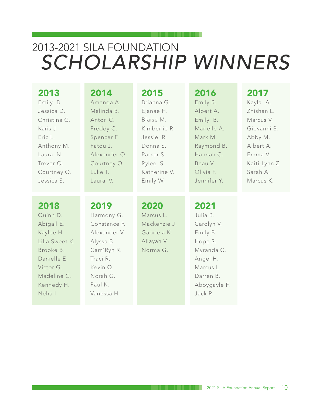### 2013-2021 SILA FOUNDATION *SCHOLARSHIP WINNERS*

| 2013                                                                                                                                           | 2014                                                                                                                                       | 2015                                                                       | 2016                                                                                                                                 | 2017          |
|------------------------------------------------------------------------------------------------------------------------------------------------|--------------------------------------------------------------------------------------------------------------------------------------------|----------------------------------------------------------------------------|--------------------------------------------------------------------------------------------------------------------------------------|---------------|
| Emily B.                                                                                                                                       | Amanda A.                                                                                                                                  | Brianna G.                                                                 | Emily R.                                                                                                                             | Kayla A.      |
| Jessica D.                                                                                                                                     | Malinda B.                                                                                                                                 | Ejanae H.                                                                  | Albert A.                                                                                                                            | Zhishan L.    |
| Christina G.                                                                                                                                   | Antor C.                                                                                                                                   | Blaise M.                                                                  | Emily B.                                                                                                                             | Marcus V.     |
| Karis J.                                                                                                                                       | Freddy C.                                                                                                                                  | Kimberlie R.                                                               | Marielle A.                                                                                                                          | Giovanni B.   |
| Eric L.                                                                                                                                        | Spencer F.                                                                                                                                 | Jessie R.                                                                  | Mark M.                                                                                                                              | Abby M.       |
| Anthony M.                                                                                                                                     | Fatou J.                                                                                                                                   | Donna S.                                                                   | Raymond B.                                                                                                                           | Albert A.     |
| Laura N.                                                                                                                                       | Alexander O.                                                                                                                               | Parker S.                                                                  | Hannah C.                                                                                                                            | Emma V.       |
| Trevor O.                                                                                                                                      | Courtney O.                                                                                                                                | Rylee S.                                                                   | Beau V.                                                                                                                              | Kaiti-Lynn Z. |
| Courtney O.                                                                                                                                    | Luke T.                                                                                                                                    | Katherine V.                                                               | Olivia F.                                                                                                                            | Sarah A.      |
| Jessica S.                                                                                                                                     | Laura <sub>V.</sub>                                                                                                                        | Emily W.                                                                   | Jennifer Y.                                                                                                                          | Marcus K.     |
| 2018<br>Quinn D.<br>Abigail E.<br>Kaylee H.<br>Lilia Sweet K.<br>Brooke B.<br>Danielle E.<br>Victor G.<br>Madeline G.<br>Kennedy H.<br>Neha I. | 2019<br>Harmony G.<br>Constance P.<br>Alexander V.<br>Alyssa B.<br>Cam'Ryn R.<br>Traci R.<br>Kevin Q.<br>Norah G.<br>Paul K.<br>Vanessa H. | 2020<br>Marcus L.<br>Mackenzie J.<br>Gabriela K.<br>Aliayah V.<br>Norma G. | 2021<br>Julia B.<br>Carolyn V.<br>Emily B.<br>Hope S.<br>Myranda C.<br>Angel H.<br>Marcus L.<br>Darren B.<br>Abbygayle F.<br>Jack R. |               |